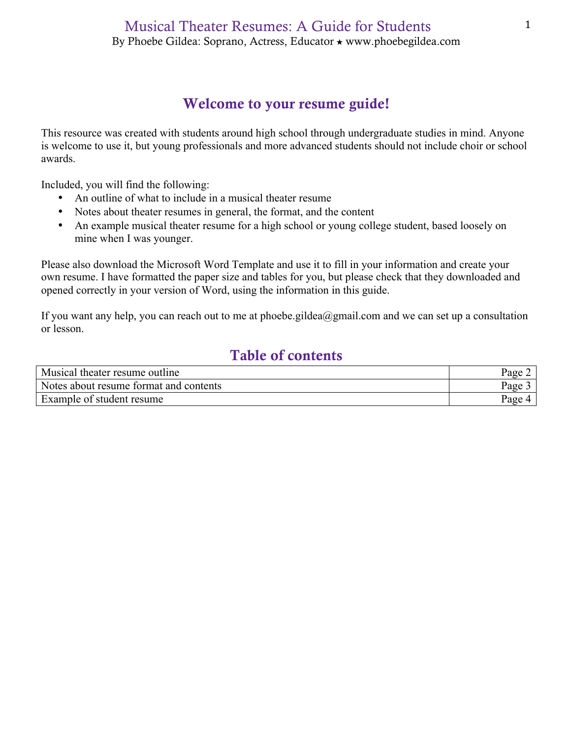# Welcome to your resume guide!

This resource was created with students around high school through undergraduate studies in mind. Anyone is welcome to use it, but young professionals and more advanced students should not include choir or school awards.

Included, you will find the following:

- An outline of what to include in a musical theater resume
- Notes about theater resumes in general, the format, and the content
- An example musical theater resume for a high school or young college student, based loosely on mine when I was younger.

Please also download the Microsoft Word Template and use it to fill in your information and create your own resume. I have formatted the paper size and tables for you, but please check that they downloaded and opened correctly in your version of Word, using the information in this guide.

If you want any help, you can reach out to me at phoebe.gildea@gmail.com and we can set up a consultation or lesson.

# Table of contents

| Musical theater resume outline         | Page |
|----------------------------------------|------|
| Notes about resume format and contents | Page |
| Example of student resume              | Page |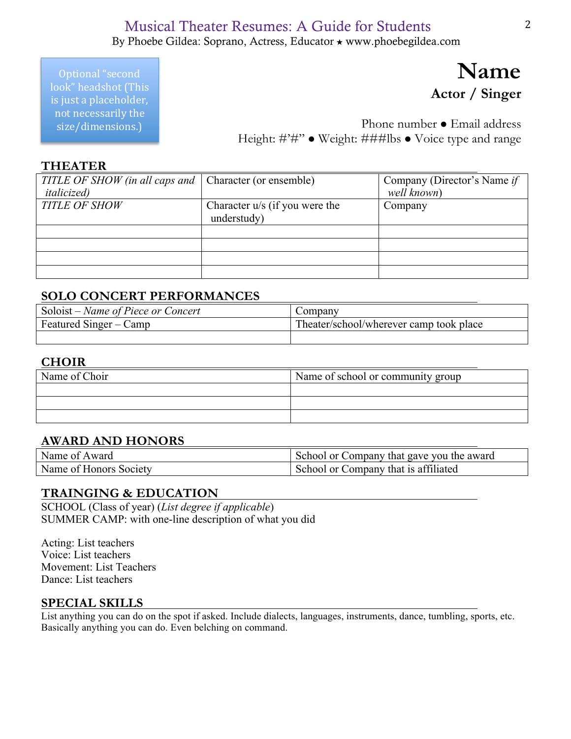## Musical Theater Resumes: A Guide for Students By Phoebe Gildea: Soprano, Actress, Educator ★ www.phoebegildea.com

Optional "second look" headshot (This is just a placeholder, not necessarily the size/dimensions.)

# **Name Actor / Singer**

Phone number • Email address Height: #'#'' • Weight: ###lbs • Voice type and range

#### **THEATER**

| TITLE OF SHOW (in all caps and   Character (or ensemble) |                                | Company (Director's Name if |
|----------------------------------------------------------|--------------------------------|-----------------------------|
| <i>italicized</i> )                                      |                                | well known)                 |
| <b>TITLE OF SHOW</b>                                     | Character u/s (if you were the | Company                     |
|                                                          | understudy)                    |                             |
|                                                          |                                |                             |
|                                                          |                                |                             |
|                                                          |                                |                             |
|                                                          |                                |                             |

## **SOLO CONCERT PERFORMANCES**

| Soloist – Name of Piece or Concert | ∠ompany                                 |
|------------------------------------|-----------------------------------------|
| Featured Singer – Camp             | Theater/school/wherever camp took place |
|                                    |                                         |

#### **CHOIR**

| Name of Choir | Name of school or community group |  |
|---------------|-----------------------------------|--|
|               |                                   |  |
|               |                                   |  |
|               |                                   |  |

## **AWARD AND HONORS**

| Name of Award          | School or Company that gave you the award |
|------------------------|-------------------------------------------|
| Name of Honors Society | School or Company that is affiliated      |

#### **TRAINGING & EDUCATION**

SCHOOL (Class of year) (*List degree if applicable*) SUMMER CAMP: with one-line description of what you did

Acting: List teachers Voice: List teachers Movement: List Teachers Dance: List teachers

#### **SPECIAL SKILLS**

List anything you can do on the spot if asked. Include dialects, languages, instruments, dance, tumbling, sports, etc. Basically anything you can do. Even belching on command.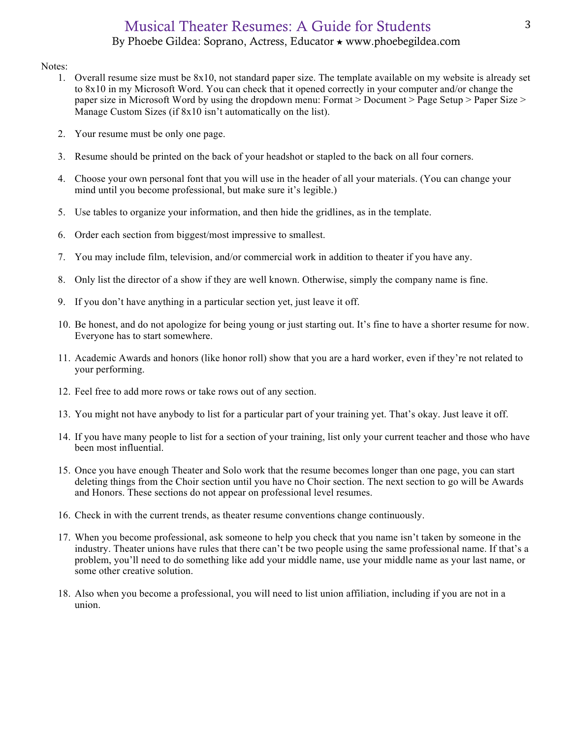## Musical Theater Resumes: A Guide for Students By Phoebe Gildea: Soprano, Actress, Educator ★ www.phoebegildea.com

#### Notes:

- 1. Overall resume size must be 8x10, not standard paper size. The template available on my website is already set to 8x10 in my Microsoft Word. You can check that it opened correctly in your computer and/or change the paper size in Microsoft Word by using the dropdown menu: Format > Document > Page Setup > Paper Size > Manage Custom Sizes (if 8x10 isn't automatically on the list).
- 2. Your resume must be only one page.
- 3. Resume should be printed on the back of your headshot or stapled to the back on all four corners.
- 4. Choose your own personal font that you will use in the header of all your materials. (You can change your mind until you become professional, but make sure it's legible.)
- 5. Use tables to organize your information, and then hide the gridlines, as in the template.
- 6. Order each section from biggest/most impressive to smallest.
- 7. You may include film, television, and/or commercial work in addition to theater if you have any.
- 8. Only list the director of a show if they are well known. Otherwise, simply the company name is fine.
- 9. If you don't have anything in a particular section yet, just leave it off.
- 10. Be honest, and do not apologize for being young or just starting out. It's fine to have a shorter resume for now. Everyone has to start somewhere.
- 11. Academic Awards and honors (like honor roll) show that you are a hard worker, even if they're not related to your performing.
- 12. Feel free to add more rows or take rows out of any section.
- 13. You might not have anybody to list for a particular part of your training yet. That's okay. Just leave it off.
- 14. If you have many people to list for a section of your training, list only your current teacher and those who have been most influential.
- 15. Once you have enough Theater and Solo work that the resume becomes longer than one page, you can start deleting things from the Choir section until you have no Choir section. The next section to go will be Awards and Honors. These sections do not appear on professional level resumes.
- 16. Check in with the current trends, as theater resume conventions change continuously.
- 17. When you become professional, ask someone to help you check that you name isn't taken by someone in the industry. Theater unions have rules that there can't be two people using the same professional name. If that's a problem, you'll need to do something like add your middle name, use your middle name as your last name, or some other creative solution.
- 18. Also when you become a professional, you will need to list union affiliation, including if you are not in a union.